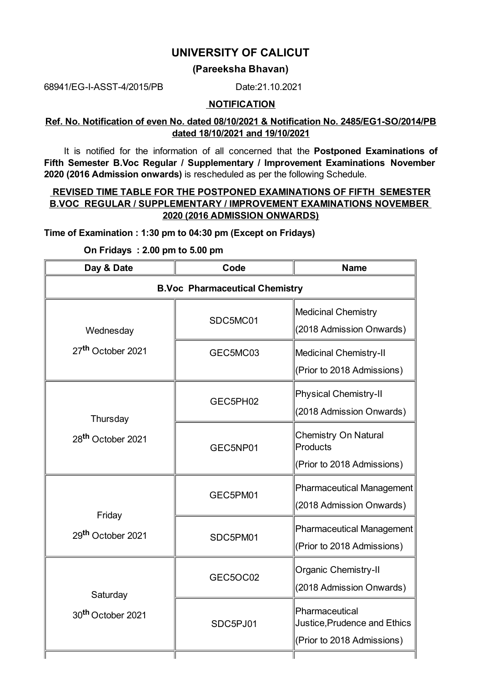# **UNIVERSITY OF CALICUT**

## **(Pareeksha Bhavan)**

68941/EG-I-ASST-4/2015/PB Date:21.10.2021

#### **NOTIFICATION**

#### **Ref. No. Notification of even No. dated 08/10/2021 & Notification No. 2485/EG1-SO/2014/PB dated 18/10/2021 and 19/10/2021**

It is notified for the information of all concerned that the **Postponed Examinations of Fifth Semester B.Voc Regular / Supplementary / Improvement Examinations November 2020 (2016 Admission onwards)** is rescheduled as per the following Schedule.

## **REVISED TIME TABLE FOR THE POSTPONED EXAMINATIONS OF FIFTH SEMESTER B.VOC REGULAR / SUPPLEMENTARY / IMPROVEMENT EXAMINATIONS NOVEMBER 2020 (2016 ADMISSION ONWARDS)**

#### **Time of Examination : 1:30 pm to 04:30 pm (Except on Fridays)**

**On Fridays : 2.00 pm to 5.00 pm**

| Day & Date                                | Code                                  | <b>Name</b>                                                                  |
|-------------------------------------------|---------------------------------------|------------------------------------------------------------------------------|
|                                           | <b>B.Voc Pharmaceutical Chemistry</b> |                                                                              |
| Wednesday                                 | SDC5MC01                              | Medicinal Chemistry<br>(2018 Admission Onwards)                              |
| 27 <sup>th</sup> October 2021             | GEC5MC03                              | Medicinal Chemistry-II<br>(Prior to 2018 Admissions)                         |
| Thursday                                  | GEC5PH02                              | Physical Chemistry-II<br>(2018 Admission Onwards)                            |
| 28 <sup>th</sup> October 2021             | GEC5NP01                              | <b>Chemistry On Natural</b><br>Products<br>(Prior to 2018 Admissions)        |
| Friday<br>29 <sup>th</sup> October 2021   | GEC5PM01                              | Pharmaceutical Management<br>(2018 Admission Onwards)                        |
|                                           | SDC5PM01                              | Pharmaceutical Management<br>(Prior to 2018 Admissions)                      |
| Saturday<br>30 <sup>th</sup> October 2021 | GEC5OC02                              | <b>Organic Chemistry-II</b><br>(2018 Admission Onwards)                      |
|                                           | SDC5PJ01                              | Pharmaceutical<br>Justice, Prudence and Ethics<br>(Prior to 2018 Admissions) |
|                                           |                                       |                                                                              |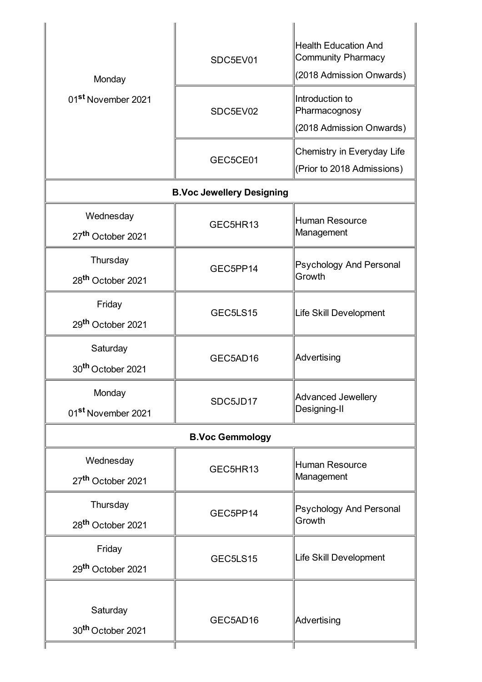|                                | SDC5EV01                         | <b>Health Education And</b><br><b>Community Pharmacy</b> |
|--------------------------------|----------------------------------|----------------------------------------------------------|
| Monday                         |                                  | (2018 Admission Onwards)                                 |
| 01 <sup>st</sup> November 2021 | SDC5EV02                         | Introduction to<br>Pharmacognosy                         |
|                                |                                  | (2018 Admission Onwards)                                 |
|                                | GEC5CE01                         | Chemistry in Everyday Life                               |
|                                |                                  | (Prior to 2018 Admissions)                               |
|                                | <b>B.Voc Jewellery Designing</b> |                                                          |
| Wednesday                      | GEC5HR13                         | <b>Human Resource</b>                                    |
| 27 <sup>th</sup> October 2021  |                                  | Management                                               |
| Thursday                       | GEC5PP14                         | <b>Psychology And Personal</b>                           |
| 28 <sup>th</sup> October 2021  |                                  | Growth                                                   |
| Friday                         | GEC5LS15                         | Life Skill Development                                   |
| 29 <sup>th</sup> October 2021  |                                  |                                                          |
| Saturday                       | GEC5AD16                         | Advertising                                              |
| 30 <sup>th</sup> October 2021  |                                  |                                                          |
| Monday                         | SDC5JD17                         | Advanced Jewellery                                       |
| 01 <sup>st</sup> November 2021 |                                  | Designing-II                                             |
|                                | <b>B.Voc Gemmology</b>           |                                                          |
| Wednesday                      | GEC5HR13                         | Human Resource                                           |
| 27 <sup>th</sup> October 2021  |                                  | Management                                               |
| Thursday                       | GEC5PP14                         | <b>Psychology And Personal</b>                           |
| 28 <sup>th</sup> October 2021  |                                  | Growth                                                   |
| Friday                         | GEC5LS15                         | Life Skill Development                                   |
| 29 <sup>th</sup> October 2021  |                                  |                                                          |
|                                |                                  |                                                          |
| Saturday                       | GEC5AD16                         | Advertising                                              |
| 30 <sup>th</sup> October 2021  |                                  |                                                          |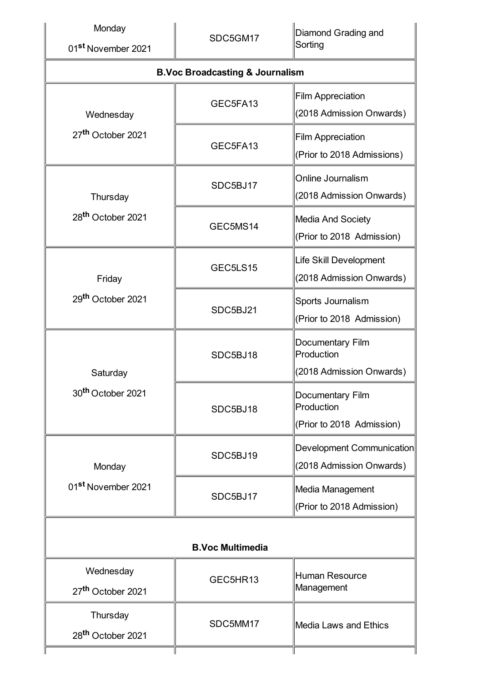| Monday<br>01 <sup>st</sup> November 2021   | SDC5GM17                                   | Diamond Grading and<br>Sorting                               |  |
|--------------------------------------------|--------------------------------------------|--------------------------------------------------------------|--|
|                                            | <b>B.Voc Broadcasting &amp; Journalism</b> |                                                              |  |
| Wednesday                                  | GEC5FA13                                   | <b>Film Appreciation</b><br>(2018 Admission Onwards)         |  |
| 27 <sup>th</sup> October 2021              | GEC5FA13                                   | <b>Film Appreciation</b><br>(Prior to 2018 Admissions)       |  |
| Thursday                                   | SDC5BJ17                                   | Online Journalism<br>(2018 Admission Onwards)                |  |
| 28 <sup>th</sup> October 2021              | GEC5MS14                                   | <b>Media And Society</b><br>(Prior to 2018 Admission)        |  |
| Friday                                     | GEC5LS15                                   | Life Skill Development<br>(2018 Admission Onwards)           |  |
| 29 <sup>th</sup> October 2021              | SDC5BJ21                                   | Sports Journalism<br>(Prior to 2018 Admission)               |  |
| Saturday                                   | SDC5BJ18                                   | Documentary Film<br>Production<br>(2018 Admission Onwards)   |  |
| 30 <sup>th</sup> October 2021              | SDC5BJ18                                   | Documentary Film<br>Production<br>(Prior to 2018 Admission)  |  |
| Monday                                     | SDC5BJ19                                   | <b>Development Communication</b><br>(2018 Admission Onwards) |  |
| 01 <sup>st</sup> November 2021             | SDC5BJ17                                   | Media Management<br>(Prior to 2018 Admission)                |  |
| <b>B.Voc Multimedia</b>                    |                                            |                                                              |  |
| Wednesday<br>27 <sup>th</sup> October 2021 | GEC5HR13                                   | <b>Human Resource</b><br>Management                          |  |
| Thursday<br>28 <sup>th</sup> October 2021  | SDC5MM17                                   | <b>Media Laws and Ethics</b>                                 |  |
|                                            |                                            |                                                              |  |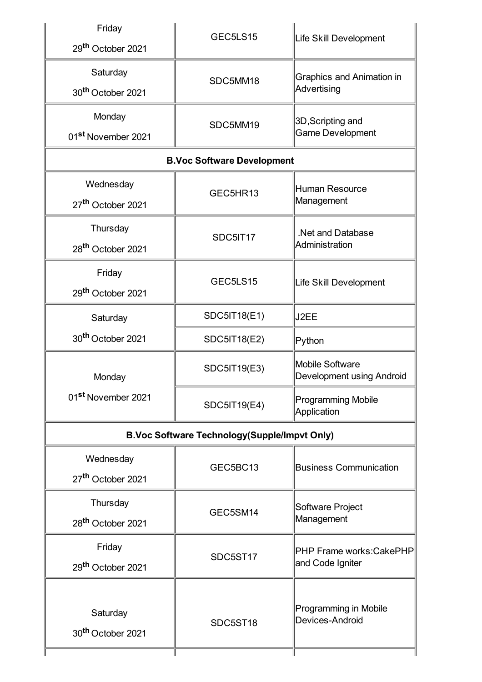| Friday<br>29 <sup>th</sup> October 2021    | GEC5LS15                                            | Life Skill Development                              |
|--------------------------------------------|-----------------------------------------------------|-----------------------------------------------------|
| Saturday<br>30 <sup>th</sup> October 2021  | SDC5MM18                                            | Graphics and Animation in<br>Advertising            |
| Monday<br>01 <sup>st</sup> November 2021   | SDC5MM19                                            | 3D, Scripting and<br><b>Game Development</b>        |
|                                            | <b>B.Voc Software Development</b>                   |                                                     |
| Wednesday<br>27 <sup>th</sup> October 2021 | GEC5HR13                                            | <b>Human Resource</b><br>Management                 |
| Thursday<br>28 <sup>th</sup> October 2021  | SDC5IT17                                            | .Net and Database<br>Administration                 |
| Friday<br>29 <sup>th</sup> October 2021    | GEC5LS15                                            | Life Skill Development                              |
| Saturday                                   | <b>SDC5IT18(E1)</b>                                 | J2EE                                                |
| 30 <sup>th</sup> October 2021              | <b>SDC5IT18(E2)</b>                                 | Python                                              |
| Monday                                     | SDC5IT19(E3)                                        | <b>Mobile Software</b><br>Development using Android |
| 01 <sup>st</sup> November 2021             | <b>SDC5IT19(E4)</b>                                 | <b>Programming Mobile</b><br>Application            |
|                                            | <b>B.Voc Software Technology(Supple/Impvt Only)</b> |                                                     |
| Wednesday<br>27 <sup>th</sup> October 2021 | GEC5BC13                                            | <b>Business Communication</b>                       |
| Thursday<br>28 <sup>th</sup> October 2021  | GEC5SM14                                            | Software Project<br>Management                      |
| Friday<br>29 <sup>th</sup> October 2021    | SDC5ST17                                            | PHP Frame works: CakePHP<br>and Code Igniter        |
| Saturday<br>30 <sup>th</sup> October 2021  | SDC5ST18                                            | Programming in Mobile<br>Devices-Android            |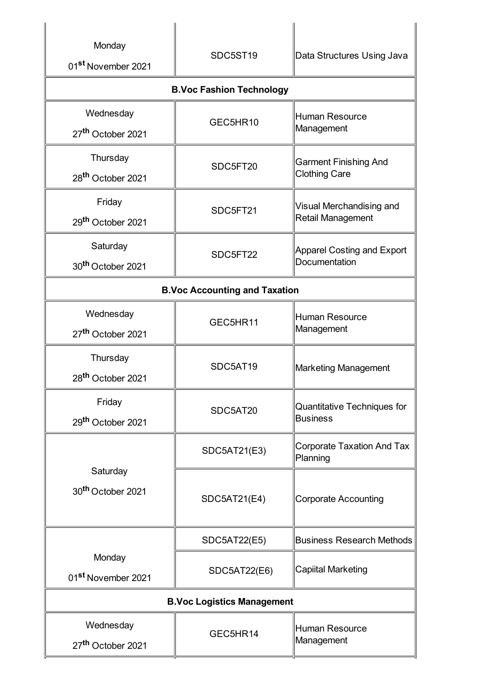| Monday<br>01 <sup>st</sup> November 2021   | SDC5ST19            | Data Structures Using Java                            |  |
|--------------------------------------------|---------------------|-------------------------------------------------------|--|
| <b>B.Voc Fashion Technology</b>            |                     |                                                       |  |
| Wednesday<br>27 <sup>th</sup> October 2021 | GEC5HR10            | Human Resource<br>Management                          |  |
| Thursday<br>28 <sup>th</sup> October 2021  | SDC5FT20            | <b>Garment Finishing And</b><br><b>Clothing Care</b>  |  |
| Friday<br>29 <sup>th</sup> October 2021    | SDC5FT21            | Visual Merchandising and<br>Retail Management         |  |
| Saturday<br>30 <sup>th</sup> October 2021  | SDC5FT22            | <b>Apparel Costing and Export</b><br>Documentation    |  |
| <b>B.Voc Accounting and Taxation</b>       |                     |                                                       |  |
| Wednesday<br>27 <sup>th</sup> October 2021 | GEC5HR11            | Human Resource<br>Management                          |  |
| Thursday<br>28 <sup>th</sup> October 2021  | SDC5AT19            | <b>Marketing Management</b>                           |  |
| Friday<br>29 <sup>th</sup> October 2021    | SDC5AT20            | <b>Quantitative Techniques for</b><br><b>Business</b> |  |
|                                            | SDC5AT21(E3)        | <b>Corporate Taxation And Tax</b><br>Planning         |  |
| Saturday<br>30 <sup>th</sup> October 2021  | SDC5AT21(E4)        | <b>Corporate Accounting</b>                           |  |
|                                            | <b>SDC5AT22(E5)</b> | <b>Business Research Methods</b>                      |  |
| Monday<br>01 <sup>st</sup> November 2021   | <b>SDC5AT22(E6)</b> | Capiital Marketing                                    |  |
| <b>B.Voc Logistics Management</b>          |                     |                                                       |  |
| Wednesday<br>27 <sup>th</sup> October 2021 | GEC5HR14            | <b>Human Resource</b><br>Management                   |  |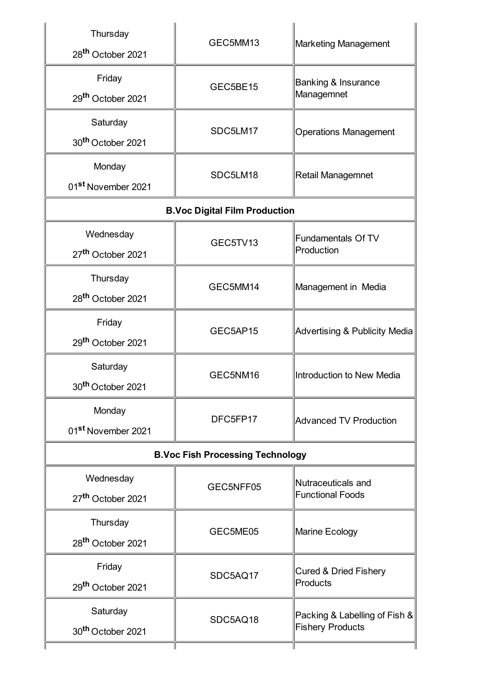| Thursday<br>28 <sup>th</sup> October 2021  | GEC5MM13                                | Marketing Management                                     |
|--------------------------------------------|-----------------------------------------|----------------------------------------------------------|
| Friday<br>29 <sup>th</sup> October 2021    | GEC5BE15                                | Banking & Insurance<br>Managemnet                        |
| Saturday<br>30 <sup>th</sup> October 2021  | SDC5LM17                                | <b>Operations Management</b>                             |
| Monday<br>01 <sup>st</sup> November 2021   | SDC5LM18                                | Retail Managemnet                                        |
|                                            | <b>B.Voc Digital Film Production</b>    |                                                          |
| Wednesday<br>27 <sup>th</sup> October 2021 | GEC5TV13                                | <b>Fundamentals Of TV</b><br>Production                  |
| Thursday<br>28 <sup>th</sup> October 2021  | GEC5MM14                                | Management in Media                                      |
| Friday<br>29 <sup>th</sup> October 2021    | GEC5AP15                                | Advertising & Publicity Media                            |
| Saturday<br>30 <sup>th</sup> October 2021  | GEC5NM16                                | Introduction to New Media                                |
| Monday<br>01 <sup>st</sup> November 2021   | DFC5FP17                                | <b>Advanced TV Production</b>                            |
|                                            | <b>B.Voc Fish Processing Technology</b> |                                                          |
| Wednesday<br>27 <sup>th</sup> October 2021 | GEC5NFF05                               | Nutraceuticals and<br><b>Functional Foods</b>            |
| Thursday<br>28 <sup>th</sup> October 2021  | GEC5ME05                                | Marine Ecology                                           |
| Friday<br>29 <sup>th</sup> October 2021    | SDC5AQ17                                | <b>Cured &amp; Dried Fishery</b><br>Products             |
| Saturday<br>30 <sup>th</sup> October 2021  | SDC5AQ18                                | Packing & Labelling of Fish &<br><b>Fishery Products</b> |
|                                            |                                         |                                                          |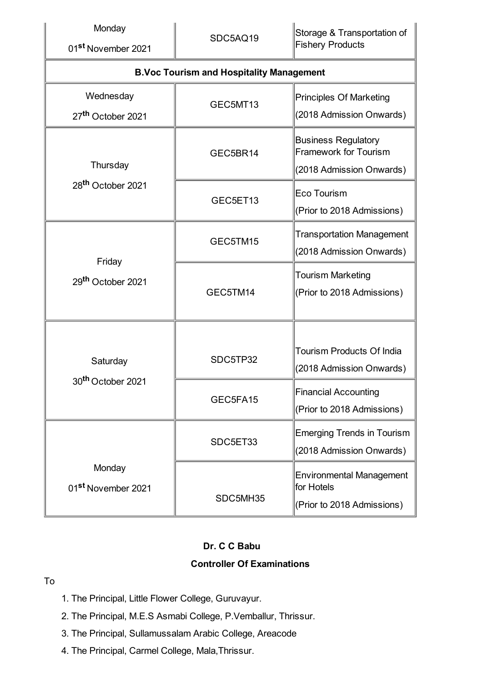| Monday<br>01 <sup>st</sup> November 2021        | SDC5AQ19 | Storage & Transportation of<br><b>Fishery Products</b>                                 |
|-------------------------------------------------|----------|----------------------------------------------------------------------------------------|
| <b>B.Voc Tourism and Hospitality Management</b> |          |                                                                                        |
| Wednesday<br>27 <sup>th</sup> October 2021      | GEC5MT13 | <b>Principles Of Marketing</b><br>(2018 Admission Onwards)                             |
| Thursday                                        | GEC5BR14 | <b>Business Regulatory</b><br><b>Framework for Tourism</b><br>(2018 Admission Onwards) |
| 28 <sup>th</sup> October 2021                   | GEC5ET13 | Eco Tourism<br>(Prior to 2018 Admissions)                                              |
| Friday                                          | GEC5TM15 | <b>Transportation Management</b><br>(2018 Admission Onwards)                           |
| 29 <sup>th</sup> October 2021                   | GEC5TM14 | <b>Tourism Marketing</b><br>(Prior to 2018 Admissions)                                 |
| Saturday                                        | SDC5TP32 | <b>Tourism Products Of India</b><br>(2018 Admission Onwards)                           |
| 30 <sup>th</sup> October 2021                   | GEC5FA15 | <b>Financial Accounting</b><br>(Prior to 2018 Admissions)                              |
|                                                 | SDC5ET33 | <b>Emerging Trends in Tourism</b><br>(2018 Admission Onwards)                          |
| Monday<br>01 <sup>st</sup> November 2021        | SDC5MH35 | <b>Environmental Management</b><br>for Hotels<br>(Prior to 2018 Admissions)            |

## **Dr. C C Babu**

# **Controller Of Examinations**

## To

- 1. The Principal, Little Flower College, Guruvayur.
- 2. The Principal, M.E.S Asmabi College, P.Vemballur, Thrissur.
- 3. The Principal, Sullamussalam Arabic College, Areacode
- 4. The Principal, Carmel College, Mala,Thrissur.